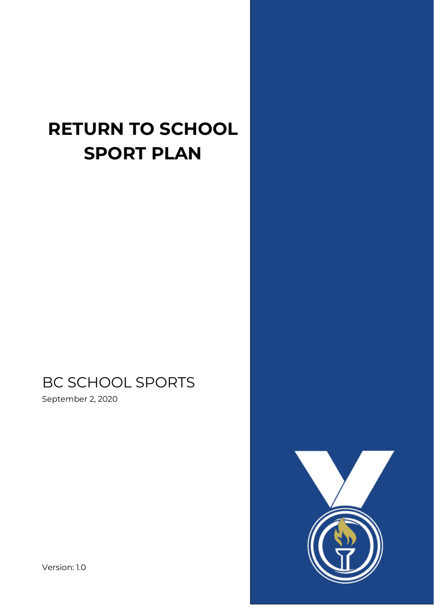# **RETURN TO SCHOOL SPORT PLAN**

## BC SCHOOL SPORTS

September 2, 2020

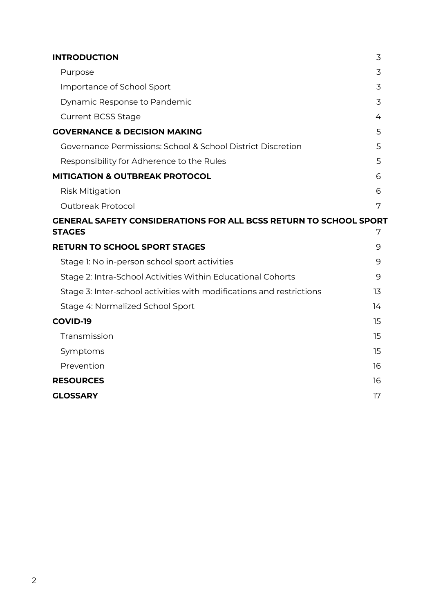| <b>INTRODUCTION</b>                                                      | 3  |
|--------------------------------------------------------------------------|----|
| Purpose                                                                  | 3  |
| Importance of School Sport                                               | 3  |
| Dynamic Response to Pandemic                                             | 3  |
| <b>Current BCSS Stage</b>                                                | 4  |
| <b>GOVERNANCE &amp; DECISION MAKING</b>                                  | 5  |
| Governance Permissions: School & School District Discretion              | 5  |
| Responsibility for Adherence to the Rules                                | 5  |
| <b>MITIGATION &amp; OUTBREAK PROTOCOL</b>                                | 6  |
| <b>Risk Mitigation</b>                                                   | 6  |
| Outbreak Protocol                                                        | 7  |
| <b>GENERAL SAFETY CONSIDERATIONS FOR ALL BCSS RETURN TO SCHOOL SPORT</b> |    |
| <b>STAGES</b>                                                            | 7  |
| <b>RETURN TO SCHOOL SPORT STAGES</b>                                     | 9  |
| Stage 1: No in-person school sport activities                            | 9  |
| Stage 2: Intra-School Activities Within Educational Cohorts              | 9  |
| Stage 3: Inter-school activities with modifications and restrictions     | 13 |
| Stage 4: Normalized School Sport                                         | 14 |
| <b>COVID-19</b>                                                          | 15 |
| Transmission                                                             | 15 |
| Symptoms                                                                 | 15 |
| Prevention                                                               | 16 |
| <b>RESOURCES</b>                                                         | 16 |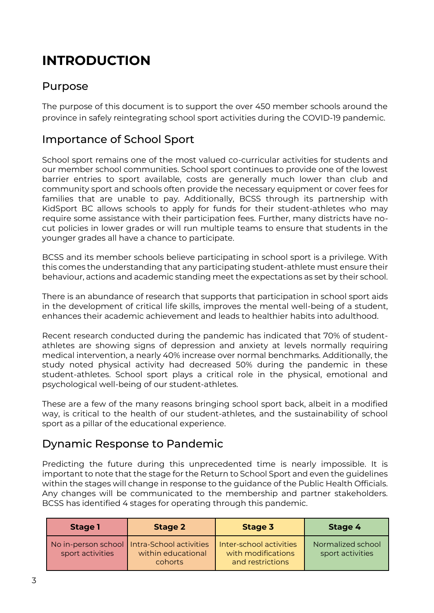## <span id="page-2-0"></span>**INTRODUCTION**

### <span id="page-2-1"></span>Purpose

The purpose of this document is to support the over 450 member schools around the province in safely reintegrating school sport activities during the COVID-19 pandemic.

## <span id="page-2-2"></span>Importance of School Sport

School sport remains one of the most valued co-curricular activities for students and our member school communities. School sport continues to provide one of the lowest barrier entries to sport available, costs are generally much lower than club and community sport and schools often provide the necessary equipment or cover fees for families that are unable to pay. Additionally, BCSS through its partnership with KidSport BC allows schools to apply for funds for their student-athletes who may require some assistance with their participation fees. Further, many districts have nocut policies in lower grades or will run multiple teams to ensure that students in the younger grades all have a chance to participate.

BCSS and its member schools believe participating in school sport is a privilege. With this comes the understanding that any participating student-athlete must ensure their behaviour, actions and academic standing meet the expectations as set by their school.

There is an abundance of research that supports that participation in school sport aids in the development of critical life skills, improves the mental well-being of a student, enhances their academic achievement and leads to healthier habits into adulthood.

Recent research conducted during the pandemic has indicated that 70% of studentathletes are showing signs of depression and anxiety at levels normally requiring medical intervention, a nearly 40% increase over normal benchmarks. Additionally, the study noted physical activity had decreased 50% during the pandemic in these student-athletes. School sport plays a critical role in the physical, emotional and psychological well-being of our student-athletes.

These are a few of the many reasons bringing school sport back, albeit in a modified way, is critical to the health of our student-athletes, and the sustainability of school sport as a pillar of the educational experience.

## <span id="page-2-3"></span>Dynamic Response to Pandemic

Predicting the future during this unprecedented time is nearly impossible. It is important to note that the stage for the Return to School Sport and even the guidelines within the stages will change in response to the guidance of the Public Health Officials. Any changes will be communicated to the membership and partner stakeholders. BCSS has identified 4 stages for operating through this pandemic.

| <b>Stage 1</b>   | <b>Stage 2</b>                                                                 | Stage 3                                                           | Stage 4                               |
|------------------|--------------------------------------------------------------------------------|-------------------------------------------------------------------|---------------------------------------|
| sport activities | No in-person school   Intra-School activities<br>within educational<br>cohorts | Inter-school activities<br>with modifications<br>and restrictions | Normalized school<br>sport activities |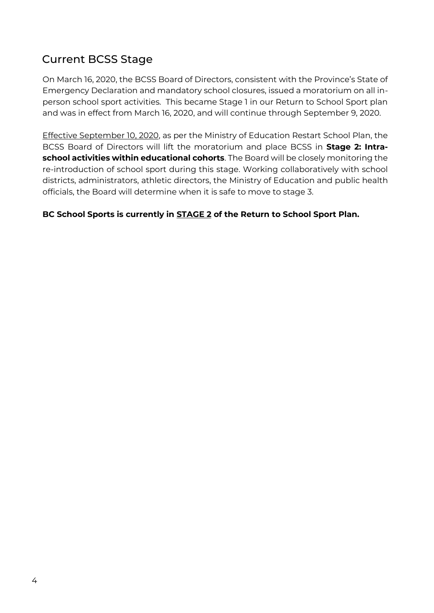## <span id="page-3-0"></span>Current BCSS Stage

On March 16, 2020, the BCSS Board of Directors, consistent with the Province's State of Emergency Declaration and mandatory school closures, issued a moratorium on all inperson school sport activities. This became Stage 1 in our Return to School Sport plan and was in effect from March 16, 2020, and will continue through September 9, 2020.

Effective September 10, 2020, as per the Ministry of Education Restart School Plan, the BCSS Board of Directors will lift the moratorium and place BCSS in **Stage 2: Intraschool activities within educational cohorts**. The Board will be closely monitoring the re-introduction of school sport during this stage. Working collaboratively with school districts, administrators, athletic directors, the Ministry of Education and public health officials, the Board will determine when it is safe to move to stage 3.

#### **BC School Sports is currently in STAGE 2 of the Return to School Sport Plan.**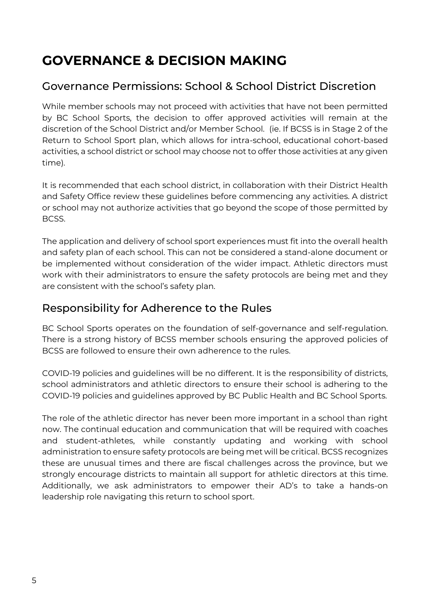## <span id="page-4-0"></span>**GOVERNANCE & DECISION MAKING**

## <span id="page-4-1"></span>Governance Permissions: School & School District Discretion

While member schools may not proceed with activities that have not been permitted by BC School Sports, the decision to offer approved activities will remain at the discretion of the School District and/or Member School. (ie. If BCSS is in Stage 2 of the Return to School Sport plan, which allows for intra-school, educational cohort-based activities, a school district or school may choose not to offer those activities at any given time).

It is recommended that each school district, in collaboration with their District Health and Safety Office review these guidelines before commencing any activities. A district or school may not authorize activities that go beyond the scope of those permitted by BCSS.

The application and delivery of school sport experiences must fit into the overall health and safety plan of each school. This can not be considered a stand-alone document or be implemented without consideration of the wider impact. Athletic directors must work with their administrators to ensure the safety protocols are being met and they are consistent with the school's safety plan.

### <span id="page-4-2"></span>Responsibility for Adherence to the Rules

BC School Sports operates on the foundation of self-governance and self-regulation. There is a strong history of BCSS member schools ensuring the approved policies of BCSS are followed to ensure their own adherence to the rules.

COVID-19 policies and guidelines will be no different. It is the responsibility of districts, school administrators and athletic directors to ensure their school is adhering to the COVID-19 policies and guidelines approved by BC Public Health and BC School Sports.

The role of the athletic director has never been more important in a school than right now. The continual education and communication that will be required with coaches and student-athletes, while constantly updating and working with school administration to ensure safety protocols are being met will be critical. BCSS recognizes these are unusual times and there are fiscal challenges across the province, but we strongly encourage districts to maintain all support for athletic directors at this time. Additionally, we ask administrators to empower their AD's to take a hands-on leadership role navigating this return to school sport.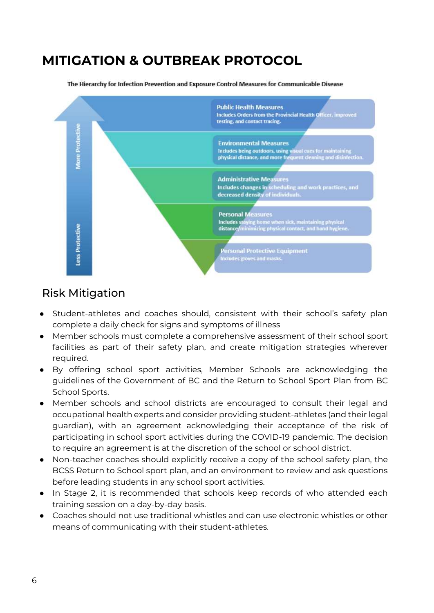## <span id="page-5-0"></span>**MITIGATION & OUTBREAK PROTOCOL**

**Public Health Measures** Includes Orders from the Provincial Health Officer, improved testing, and contact tracing. More Protective **Environmental Measures** Includes being outdoors, using visual cues for maintaining<br>physical distance, and more frequent cleaning and disinfection. Administrative Measures<br>Includes changes in scheduling and work practices, and<br>decreased density of individuals. **Personal Measures** Includes staying home when sick, maintaining physical<br>distance/minimizing physical contact, and hand hygiene Less Protective **Personal Protective Equipment** Includes gloves and masks

The Hierarchy for Infection Prevention and Exposure Control Measures for Communicable Disease

### <span id="page-5-1"></span>Risk Mitigation

- Student-athletes and coaches should, consistent with their school's safety plan complete a daily check for signs and symptoms of illness
- Member schools must complete a comprehensive assessment of their school sport facilities as part of their safety plan, and create mitigation strategies wherever required.
- By offering school sport activities, Member Schools are acknowledging the guidelines of the Government of BC and the Return to School Sport Plan from BC School Sports.
- Member schools and school districts are encouraged to consult their legal and occupational health experts and consider providing student-athletes (and their legal guardian), with an agreement acknowledging their acceptance of the risk of participating in school sport activities during the COVID-19 pandemic. The decision to require an agreement is at the discretion of the school or school district.
- Non-teacher coaches should explicitly receive a copy of the school safety plan, the BCSS Return to School sport plan, and an environment to review and ask questions before leading students in any school sport activities.
- In Stage 2, it is recommended that schools keep records of who attended each training session on a day-by-day basis.
- Coaches should not use traditional whistles and can use electronic whistles or other means of communicating with their student-athletes.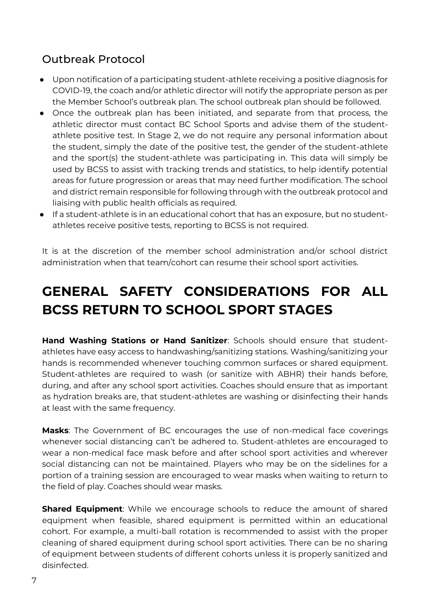## <span id="page-6-0"></span>Outbreak Protocol

- Upon notification of a participating student-athlete receiving a positive diagnosis for COVID-19, the coach and/or athletic director will notify the appropriate person as per the Member School's outbreak plan. The school outbreak plan should be followed.
- Once the outbreak plan has been initiated, and separate from that process, the athletic director must contact BC School Sports and advise them of the studentathlete positive test. In Stage 2, we do not require any personal information about the student, simply the date of the positive test, the gender of the student-athlete and the sport(s) the student-athlete was participating in. This data will simply be used by BCSS to assist with tracking trends and statistics, to help identify potential areas for future progression or areas that may need further modification. The school and district remain responsible for following through with the outbreak protocol and liaising with public health officials as required.
- If a student-athlete is in an educational cohort that has an exposure, but no studentathletes receive positive tests, reporting to BCSS is not required.

It is at the discretion of the member school administration and/or school district administration when that team/cohort can resume their school sport activities.

## <span id="page-6-1"></span>**GENERAL SAFETY CONSIDERATIONS FOR ALL BCSS RETURN TO SCHOOL SPORT STAGES**

**Hand Washing Stations or Hand Sanitizer**: Schools should ensure that studentathletes have easy access to handwashing/sanitizing stations. Washing/sanitizing your hands is recommended whenever touching common surfaces or shared equipment. Student-athletes are required to wash (or sanitize with ABHR) their hands before, during, and after any school sport activities. Coaches should ensure that as important as hydration breaks are, that student-athletes are washing or disinfecting their hands at least with the same frequency.

**Masks**: The Government of BC encourages the use of non-medical face coverings whenever social distancing can't be adhered to. Student-athletes are encouraged to wear a non-medical face mask before and after school sport activities and wherever social distancing can not be maintained. Players who may be on the sidelines for a portion of a training session are encouraged to wear masks when waiting to return to the field of play. Coaches should wear masks.

**Shared Equipment**: While we encourage schools to reduce the amount of shared equipment when feasible, shared equipment is permitted within an educational cohort. For example, a multi-ball rotation is recommended to assist with the proper cleaning of shared equipment during school sport activities. There can be no sharing of equipment between students of different cohorts unless it is properly sanitized and disinfected.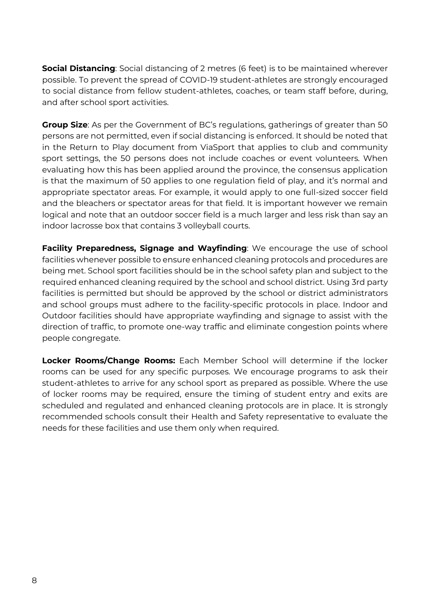**Social Distancing**: Social distancing of 2 metres (6 feet) is to be maintained wherever possible. To prevent the spread of COVID-19 student-athletes are strongly encouraged to social distance from fellow student-athletes, coaches, or team staff before, during, and after school sport activities.

**Group Size**: As per the Government of BC's regulations, gatherings of greater than 50 persons are not permitted, even if social distancing is enforced. It should be noted that in the Return to Play document from ViaSport that applies to club and community sport settings, the 50 persons does not include coaches or event volunteers. When evaluating how this has been applied around the province, the consensus application is that the maximum of 50 applies to one regulation field of play, and it's normal and appropriate spectator areas. For example, it would apply to one full-sized soccer field and the bleachers or spectator areas for that field. It is important however we remain logical and note that an outdoor soccer field is a much larger and less risk than say an indoor lacrosse box that contains 3 volleyball courts.

**Facility Preparedness, Signage and Wayfinding**: We encourage the use of school facilities whenever possible to ensure enhanced cleaning protocols and procedures are being met. School sport facilities should be in the school safety plan and subject to the required enhanced cleaning required by the school and school district. Using 3rd party facilities is permitted but should be approved by the school or district administrators and school groups must adhere to the facility-specific protocols in place. Indoor and Outdoor facilities should have appropriate wayfinding and signage to assist with the direction of traffic, to promote one-way traffic and eliminate congestion points where people congregate.

**Locker Rooms/Change Rooms:** Each Member School will determine if the locker rooms can be used for any specific purposes. We encourage programs to ask their student-athletes to arrive for any school sport as prepared as possible. Where the use of locker rooms may be required, ensure the timing of student entry and exits are scheduled and regulated and enhanced cleaning protocols are in place. It is strongly recommended schools consult their Health and Safety representative to evaluate the needs for these facilities and use them only when required.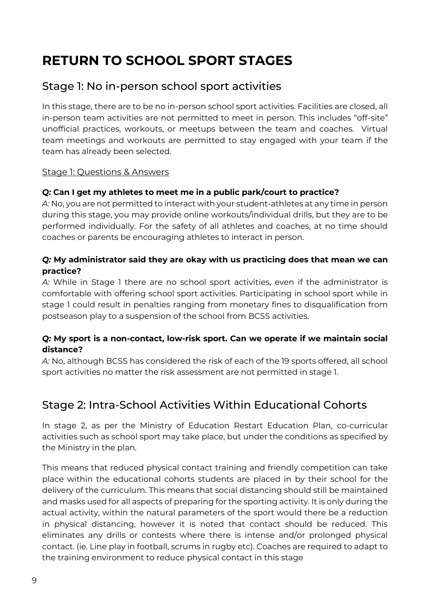## <span id="page-8-0"></span>**RETURN TO SCHOOL SPORT STAGES**

## <span id="page-8-1"></span>Stage 1: No in-person school sport activities

In this stage, there are to be no in-person school sport activities. Facilities are closed, all in-person team activities are not permitted to meet in person. This includes "off-site" unofficial practices, workouts, or meetups between the team and coaches. Virtual team meetings and workouts are permitted to stay engaged with your team if the team has already been selected.

#### Stage 1: Questions & Answers

#### *Q:* **Can I get my athletes to meet me in a public park/court to practice?**

*A:* No, you are not permitted to interact with your student-athletes at any time in person during this stage, you may provide online workouts/individual drills, but they are to be performed individually. For the safety of all athletes and coaches, at no time should coaches or parents be encouraging athletes to interact in person.

#### *Q:* **My administrator said they are okay with us practicing does that mean we can practice?**

*A:* While in Stage 1 there are no school sport activities, even if the administrator is comfortable with offering school sport activities. Participating in school sport while in stage 1 could result in penalties ranging from monetary fines to disqualification from postseason play to a suspension of the school from BCSS activities.

#### *Q:* **My sport is a non-contact, low-risk sport. Can we operate if we maintain social distance?**

*A:* No, although BCSS has considered the risk of each of the 19 sports offered, all school sport activities no matter the risk assessment are not permitted in stage 1.

## <span id="page-8-2"></span>Stage 2: Intra-School Activities Within Educational Cohorts

In stage 2, as per the Ministry of Education Restart Education Plan, co-curricular activities such as school sport may take place, but under the conditions as specified by the Ministry in the plan.

This means that reduced physical contact training and friendly competition can take place within the educational cohorts students are placed in by their school for the delivery of the curriculum. This means that social distancing should still be maintained and masks used for all aspects of preparing for the sporting activity. It is only during the actual activity, within the natural parameters of the sport would there be a reduction in physical distancing, however it is noted that contact should be reduced. This eliminates any drills or contests where there is intense and/or prolonged physical contact. (ie. Line play in football, scrums in rugby etc). Coaches are required to adapt to the training environment to reduce physical contact in this stage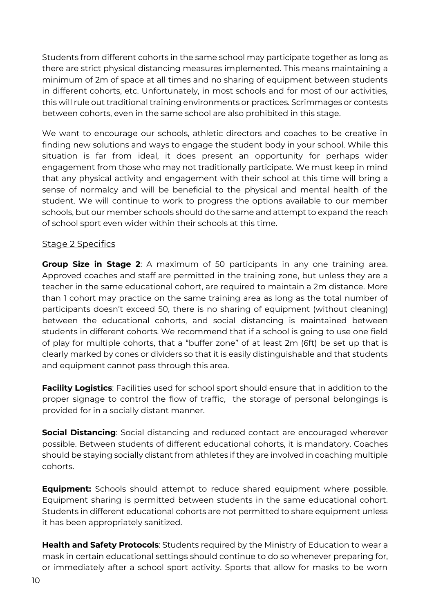Students from different cohorts in the same school may participate together as long as there are strict physical distancing measures implemented. This means maintaining a minimum of 2m of space at all times and no sharing of equipment between students in different cohorts, etc. Unfortunately, in most schools and for most of our activities, this will rule out traditional training environments or practices. Scrimmages or contests between cohorts, even in the same school are also prohibited in this stage.

We want to encourage our schools, athletic directors and coaches to be creative in finding new solutions and ways to engage the student body in your school. While this situation is far from ideal, it does present an opportunity for perhaps wider engagement from those who may not traditionally participate. We must keep in mind that any physical activity and engagement with their school at this time will bring a sense of normalcy and will be beneficial to the physical and mental health of the student. We will continue to work to progress the options available to our member schools, but our member schools should do the same and attempt to expand the reach of school sport even wider within their schools at this time.

#### Stage 2 Specifics

**Group Size in Stage 2**: A maximum of 50 participants in any one training area. Approved coaches and staff are permitted in the training zone, but unless they are a teacher in the same educational cohort, are required to maintain a 2m distance. More than 1 cohort may practice on the same training area as long as the total number of participants doesn't exceed 50, there is no sharing of equipment (without cleaning) between the educational cohorts, and social distancing is maintained between students in different cohorts. We recommend that if a school is going to use one field of play for multiple cohorts, that a "buffer zone" of at least 2m (6ft) be set up that is clearly marked by cones or dividers so that it is easily distinguishable and that students and equipment cannot pass through this area.

**Facility Logistics**: Facilities used for school sport should ensure that in addition to the proper signage to control the flow of traffic, the storage of personal belongings is provided for in a socially distant manner.

**Social Distancing**: Social distancing and reduced contact are encouraged wherever possible. Between students of different educational cohorts, it is mandatory. Coaches should be staying socially distant from athletes if they are involved in coaching multiple cohorts.

**Equipment:** Schools should attempt to reduce shared equipment where possible. Equipment sharing is permitted between students in the same educational cohort. Students in different educational cohorts are not permitted to share equipment unless it has been appropriately sanitized.

**Health and Safety Protocols**: Students required by the Ministry of Education to wear a mask in certain educational settings should continue to do so whenever preparing for, or immediately after a school sport activity. Sports that allow for masks to be worn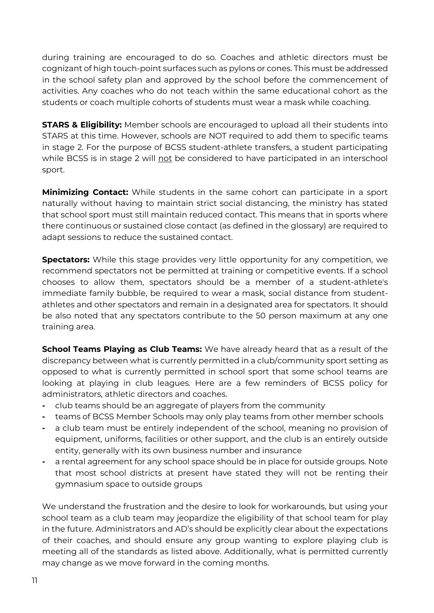during training are encouraged to do so. Coaches and athletic directors must be cognizant of high touch-point surfaces such as pylons or cones. This must be addressed in the school safety plan and approved by the school before the commencement of activities. Any coaches who do not teach within the same educational cohort as the students or coach multiple cohorts of students must wear a mask while coaching.

**STARS & Eligibility:** Member schools are encouraged to upload all their students into STARS at this time. However, schools are NOT required to add them to specific teams in stage 2. For the purpose of BCSS student-athlete transfers, a student participating while BCSS is in stage 2 will not be considered to have participated in an interschool sport.

**Minimizing Contact:** While students in the same cohort can participate in a sport naturally without having to maintain strict social distancing, the ministry has stated that school sport must still maintain reduced contact. This means that in sports where there continuous or sustained close contact (as defined in the glossary) are required to adapt sessions to reduce the sustained contact.

**Spectators:** While this stage provides very little opportunity for any competition, we recommend spectators not be permitted at training or competitive events. If a school chooses to allow them, spectators should be a member of a student-athlete's immediate family bubble, be required to wear a mask, social distance from studentathletes and other spectators and remain in a designated area for spectators. It should be also noted that any spectators contribute to the 50 person maximum at any one training area.

**School Teams Playing as Club Teams:** We have already heard that as a result of the discrepancy between what is currently permitted in a club/community sport setting as opposed to what is currently permitted in school sport that some school teams are looking at playing in club leagues. Here are a few reminders of BCSS policy for administrators, athletic directors and coaches.

- **-** club teams should be an aggregate of players from the community
- **-** teams of BCSS Member Schools may only play teams from other member schools
- **-** a club team must be entirely independent of the school, meaning no provision of equipment, uniforms, facilities or other support, and the club is an entirely outside entity, generally with its own business number and insurance
- **-** a rental agreement for any school space should be in place for outside groups. Note that most school districts at present have stated they will not be renting their gymnasium space to outside groups

We understand the frustration and the desire to look for workarounds, but using your school team as a club team may jeopardize the eligibility of that school team for play in the future. Administrators and AD's should be explicitly clear about the expectations of their coaches, and should ensure any group wanting to explore playing club is meeting all of the standards as listed above. Additionally, what is permitted currently may change as we move forward in the coming months.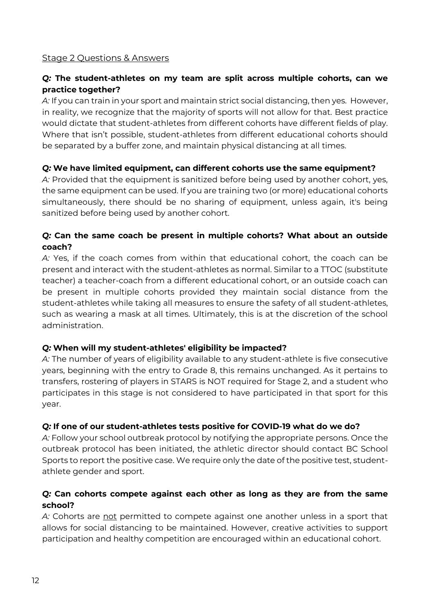#### Stage 2 Questions & Answers

#### *Q:* **The student-athletes on my team are split across multiple cohorts, can we practice together?**

*A:* If you can train in your sport and maintain strict social distancing, then yes. However, in reality, we recognize that the majority of sports will not allow for that. Best practice would dictate that student-athletes from different cohorts have different fields of play. Where that isn't possible, student-athletes from different educational cohorts should be separated by a buffer zone, and maintain physical distancing at all times.

#### *Q:* **We have limited equipment, can different cohorts use the same equipment?**

*A:* Provided that the equipment is sanitized before being used by another cohort, yes, the same equipment can be used. If you are training two (or more) educational cohorts simultaneously, there should be no sharing of equipment, unless again, it's being sanitized before being used by another cohort.

#### *Q:* **Can the same coach be present in multiple cohorts? What about an outside coach?**

*A:* Yes, if the coach comes from within that educational cohort, the coach can be present and interact with the student-athletes as normal. Similar to a TTOC (substitute teacher) a teacher-coach from a different educational cohort, or an outside coach can be present in multiple cohorts provided they maintain social distance from the student-athletes while taking all measures to ensure the safety of all student-athletes, such as wearing a mask at all times. Ultimately, this is at the discretion of the school administration.

#### *Q:* **When will my student-athletes' eligibility be impacted?**

*A:* The number of years of eligibility available to any student-athlete is five consecutive years, beginning with the entry to Grade 8, this remains unchanged. As it pertains to transfers, rostering of players in STARS is NOT required for Stage 2, and a student who participates in this stage is not considered to have participated in that sport for this year.

#### *Q:* **If one of our student-athletes tests positive for COVID-19 what do we do?**

*A:* Follow your school outbreak protocol by notifying the appropriate persons. Once the outbreak protocol has been initiated, the athletic director should contact BC School Sports to report the positive case. We require only the date of the positive test, studentathlete gender and sport.

#### *Q:* **Can cohorts compete against each other as long as they are from the same school?**

*A:* Cohorts are not permitted to compete against one another unless in a sport that allows for social distancing to be maintained. However, creative activities to support participation and healthy competition are encouraged within an educational cohort.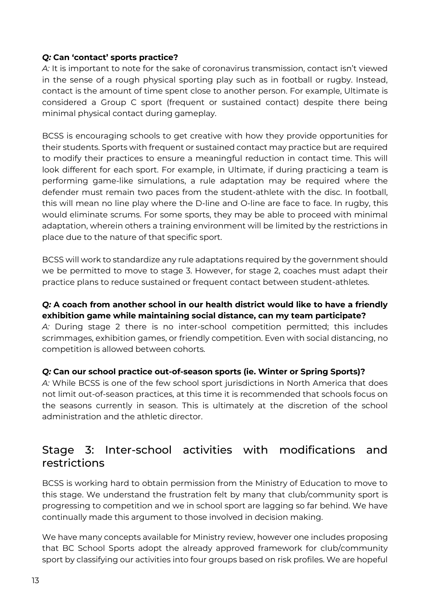#### *Q:* **Can 'contact' sports practice?**

*A:* It is important to note for the sake of coronavirus transmission, contact isn't viewed in the sense of a rough physical sporting play such as in football or rugby. Instead, contact is the amount of time spent close to another person. For example, Ultimate is considered a Group C sport (frequent or sustained contact) despite there being minimal physical contact during gameplay.

BCSS is encouraging schools to get creative with how they provide opportunities for their students. Sports with frequent or sustained contact may practice but are required to modify their practices to ensure a meaningful reduction in contact time. This will look different for each sport. For example, in Ultimate, if during practicing a team is performing game-like simulations, a rule adaptation may be required where the defender must remain two paces from the student-athlete with the disc. In football, this will mean no line play where the D-line and O-line are face to face. In rugby, this would eliminate scrums. For some sports, they may be able to proceed with minimal adaptation, wherein others a training environment will be limited by the restrictions in place due to the nature of that specific sport.

BCSS will work to standardize any rule adaptations required by the government should we be permitted to move to stage 3. However, for stage 2, coaches must adapt their practice plans to reduce sustained or frequent contact between student-athletes.

#### *Q:* **A coach from another school in our health district would like to have a friendly exhibition game while maintaining social distance, can my team participate?**

*A:* During stage 2 there is no inter-school competition permitted; this includes scrimmages, exhibition games, or friendly competition. Even with social distancing, no competition is allowed between cohorts.

#### *Q:* **Can our school practice out-of-season sports (ie. Winter or Spring Sports)?**

*A:* While BCSS is one of the few school sport jurisdictions in North America that does not limit out-of-season practices, at this time it is recommended that schools focus on the seasons currently in season. This is ultimately at the discretion of the school administration and the athletic director.

## <span id="page-12-0"></span>Stage 3: Inter-school activities with modifications and restrictions

BCSS is working hard to obtain permission from the Ministry of Education to move to this stage. We understand the frustration felt by many that club/community sport is progressing to competition and we in school sport are lagging so far behind. We have continually made this argument to those involved in decision making.

We have many concepts available for Ministry review, however one includes proposing that BC School Sports adopt the already approved framework for club/community sport by classifying our activities into four groups based on risk profiles. We are hopeful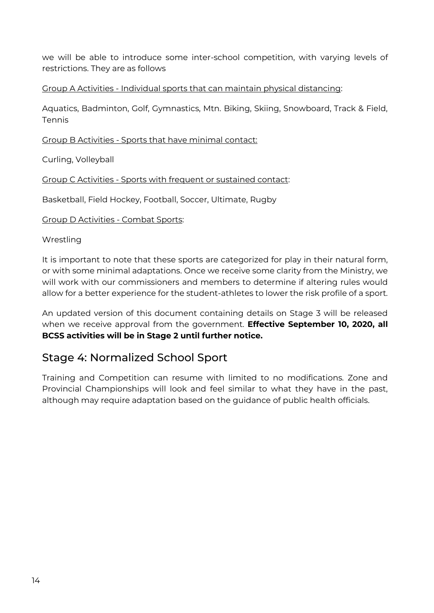we will be able to introduce some inter-school competition, with varying levels of restrictions. They are as follows

Group A Activities - Individual sports that can maintain physical distancing:

Aquatics, Badminton, Golf, Gymnastics, Mtn. Biking, Skiing, Snowboard, Track & Field, Tennis

Group B Activities - Sports that have minimal contact:

Curling, Volleyball

Group C Activities - Sports with frequent or sustained contact:

Basketball, Field Hockey, Football, Soccer, Ultimate, Rugby

Group D Activities - Combat Sports:

**Wrestling** 

It is important to note that these sports are categorized for play in their natural form, or with some minimal adaptations. Once we receive some clarity from the Ministry, we will work with our commissioners and members to determine if altering rules would allow for a better experience for the student-athletes to lower the risk profile of a sport.

An updated version of this document containing details on Stage 3 will be released when we receive approval from the government. **Effective September 10, 2020, all BCSS activities will be in Stage 2 until further notice.** 

### <span id="page-13-0"></span>Stage 4: Normalized School Sport

Training and Competition can resume with limited to no modifications. Zone and Provincial Championships will look and feel similar to what they have in the past, although may require adaptation based on the guidance of public health officials.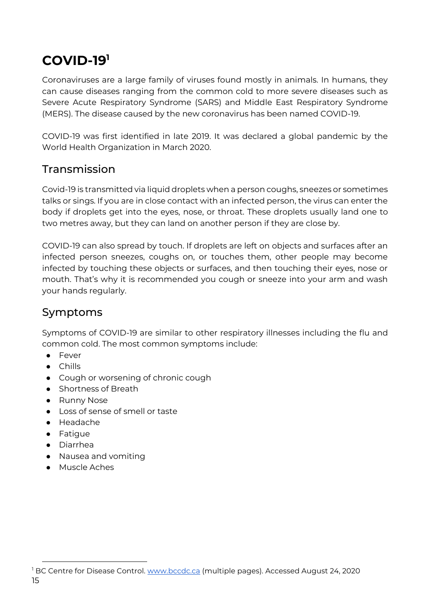## <span id="page-14-0"></span>**COVID-19<sup>1</sup>**

Coronaviruses are a large family of viruses found mostly in animals. In humans, they can cause diseases ranging from the common cold to more severe diseases such as Severe Acute Respiratory Syndrome (SARS) and Middle East Respiratory Syndrome (MERS). The disease caused by the new coronavirus has been named COVID-19.

COVID-19 was first identified in late 2019. It was declared a global pandemic by the World Health Organization in March 2020.

## <span id="page-14-1"></span>Transmission

Covid-19 is transmitted via liquid droplets when a person coughs, sneezes or sometimes talks or sings. If you are in close contact with an infected person, the virus can enter the body if droplets get into the eyes, nose, or throat. These droplets usually land one to two metres away, but they can land on another person if they are close by.

COVID-19 can also spread by touch. If droplets are left on objects and surfaces after an infected person sneezes, coughs on, or touches them, other people may become infected by touching these objects or surfaces, and then touching their eyes, nose or mouth. That's why it is recommended you cough or sneeze into your arm and wash your hands regularly.

## <span id="page-14-2"></span>Symptoms

Symptoms of COVID-19 are similar to other respiratory illnesses including the flu and common cold. The most common symptoms include:

- Fever
- Chills
- Cough or worsening of chronic cough
- Shortness of Breath
- Runny Nose
- Loss of sense of smell or taste
- Headache
- Fatigue

 $\ddot{\phantom{a}}$ 

- Diarrhea
- Nausea and vomiting
- Muscle Aches

<sup>15</sup> <sup>1</sup> BC Centre for Disease Control. [www.bccdc.ca](http://www.bccdc.ca/) (multiple pages). Accessed August 24, 2020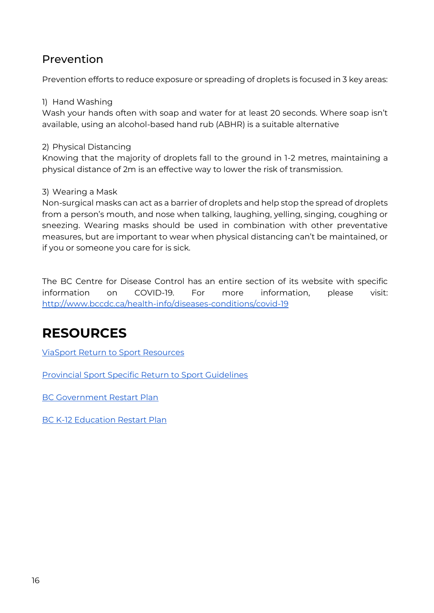### <span id="page-15-0"></span>Prevention

Prevention efforts to reduce exposure or spreading of droplets is focused in 3 key areas:

#### 1) Hand Washing

Wash your hands often with soap and water for at least 20 seconds. Where soap isn't available, using an alcohol-based hand rub (ABHR) is a suitable alternative

#### 2) Physical Distancing

Knowing that the majority of droplets fall to the ground in 1-2 metres, maintaining a physical distance of 2m is an effective way to lower the risk of transmission.

#### 3) Wearing a Mask

Non-surgical masks can act as a barrier of droplets and help stop the spread of droplets from a person's mouth, and nose when talking, laughing, yelling, singing, coughing or sneezing. Wearing masks should be used in combination with other preventative measures, but are important to wear when physical distancing can't be maintained, or if you or someone you care for is sick.

The BC Centre for Disease Control has an entire section of its website with specific information on COVID-19. For more information, please visit: <http://www.bccdc.ca/health-info/diseases-conditions/covid-19>

## <span id="page-15-1"></span>**RESOURCES**

ViaSport [Return to Sport Resources](https://www.viasport.ca/return-sport-resources)

[Provincial Sport Specific Return to Sport Guidelines](https://www.viasport.ca/sport-specific-guidelines) 

[BC Government Restart Plan](https://www2.gov.bc.ca/gov/content/safety/emergency-preparedness-response-recovery/covid-19-provincial-support/bc-restart-plan#getting-back-to-work)

[BC K-12 Education Restart Plan](https://www2.gov.bc.ca/assets/gov/education/administration/kindergarten-to-grade-12/safe-caring-orderly/k-12-education-restart-plan.pdf?bcgovtm=20200506_GCPE_AM_COVID_9_NOTIFICATION_BCGOV_BCGOV_EN_BC__NOTIFICATION)